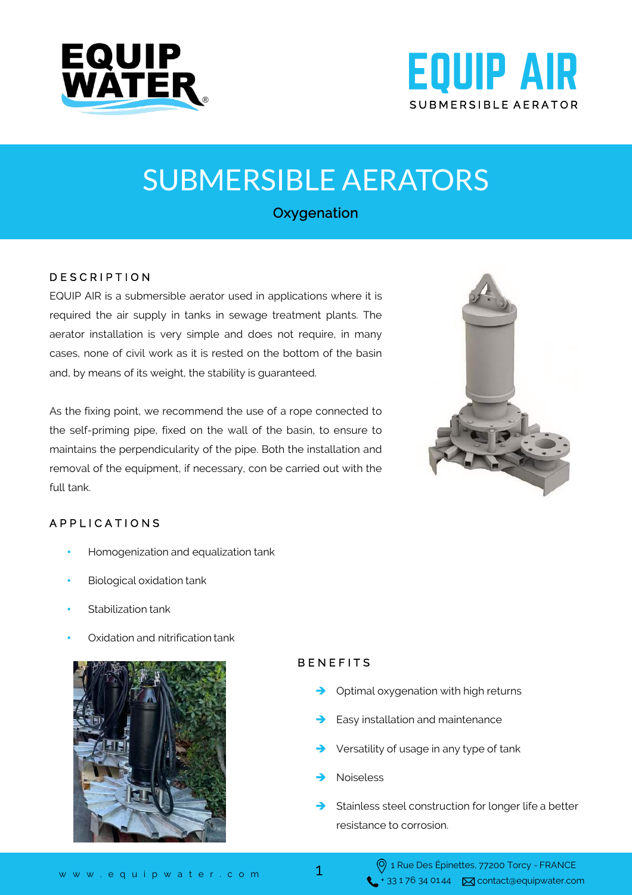



# SUBMERSIBLE AERATORS

## Oxygenation

### D E S C R I P T I O N

EQUIP AIR is a submersible aerator used in applications where it is required the air supply in tanks in sewage treatment plants. The aerator installation is very simple and does not require, in many cases, none of civil work as it is rested on the bottom of the basin and, by means of its weight, the stability is guaranteed.

As the fixing point, we recommend the use of a rope connected to the self-priming pipe, fixed on the wall of the basin, to ensure to maintains the perpendicularity of the pipe. Both the installation and removal of the equipment, if necessary, con be carried out with the full tank.



### A P P L I C A T I O N S

- Homogenization and equalization tank
- Biological oxidation tank
- Stabilization tank
- Oxidation and nitrification tank



### **BENEFITS**

- Optimal oxygenation with high returns
- Easy installation and maintenance
- Versatility of usage in any type of tank
- Noiseless
- Stainless steel construction for longer life a better resistance to corrosion.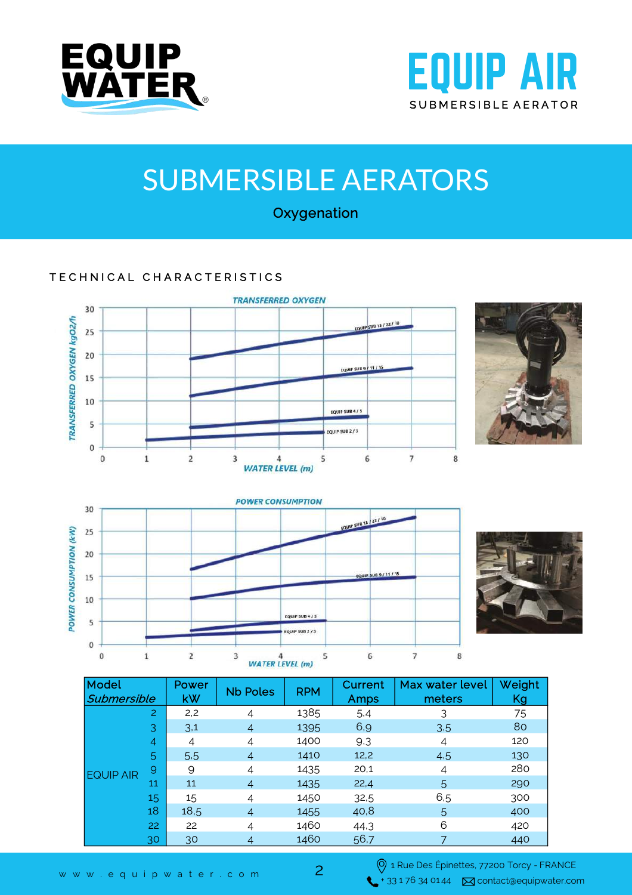



# SUBMERSIBLE AERATORS

**Oxygenation** 

## TECHNICAL CHARACTERISTICS









| Model<br>Submersible |    | Power<br>kW | <b>Nb Poles</b> | <b>RPM</b> | Current<br>Amps | Max water level<br>meters | Weight<br>Kg |
|----------------------|----|-------------|-----------------|------------|-----------------|---------------------------|--------------|
| <b>EQUIP AIR</b>     | 2  | 2,2         | 4               | 1385       | 5.4             | 3                         | 75           |
|                      | 3  | 3,1         | $\overline{4}$  | 1395       | 6,9             | 3.5                       | 80           |
|                      | 4  | 4           | 4               | 1400       | 9.3             | 4                         | 120          |
|                      | 5  | 5.5         | $\overline{A}$  | 1410       | 12,2            | 4.5                       | 130          |
|                      | 9  | 9           | 4               | 1435       | 20,1            | 4                         | 280          |
|                      | 11 | 11          | $\overline{4}$  | 1435       | 22,4            | 5                         | 290          |
|                      | 15 | 15          | 4               | 1450       | 32,5            | 6,5                       | 300          |
|                      | 18 | 18,5        | $\overline{A}$  | 1455       | 40,8            | 5                         | 400          |
|                      | 22 | 22          | 4               | 1460       | 44,3            | 6                         | 420          |
|                      | 30 | 30          | 4               | 1460       | 56,7            |                           | 440          |

2

1 Rue Des Épinettes, 77200 Torcy - FRANCE www.equipwater.com  $\overbrace{\phantom{0}}^{+ 33\,176\,34\,0144}$   $\overline{\phantom{0}}$  contact@equipwater.com